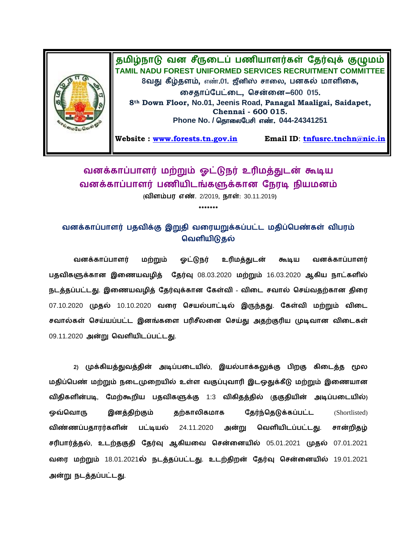

## வனக்காப்பாளர் மற்றும் ஓட்டுநர் உரிமத்துடன் கூடிய வனக்காப்பாளர் பணியிடங்களுக்கான நேரடி நியமனம் **(விளம்பர எண்.** 2/2019, **நாள்**: 30.11.2019)

**\*\*\*\*\*\*\***

வனக்காப்பாளர் பதவிக்கு இறுதி வரையறுக்கப்பட்ட மதிப்பெண்கள் விபரம் **வெளியிடுதல்** 

வனக்காப்பாளர் மற்றும் ஓட்டுநர் உரிமத்துடன் கூடிய வனக்காப்பாளர் பதவிகளுக்கான இணையவழித் தேர்வு 08.03.2020 மற்றும் 16.03.2020 ஆகிய நாட்களில் நடத்தப்பட்டது. இணையவழித் தேர்வுக்கான கேள்வி - விடை சவால் செய்வதற்கான திரை 07.10.2020 முதல் 10.10.2020 வரை செயல்பாட்டில் இருந்தது. கேள்வி மற்றும் விடை சவால்கள் செய்யப்பட்ட இனங்களை பரிசீலனை செய்து அதற்குரிய முடிவான விடைகள் 09.11.2020 அன்று வெளியிடப்பட்டது.

2) முக்கியத்துவத்தின் அடிப்படையில், இயல்பாக்கலுக்கு பிறகு கிடைத்த மூல மதிப்பெண் மற்றும் நடைமுறையில் உள்ள வகுப்புவாரி இடஒதுக்கீடு மற்றும் இணையான விதிகளின்படி, மேற்கூறிய பதவிகளுக்கு 1:3 விகிதத்தில் குகுதியின் அடிப்படையில்) ஒவ்வொரு இனத்திற்கும் தற்காலிகமாக **தேர்ந்தெடுக்கப்பட்ட** (Shortlisted) விண்ணப்பதாரர்களின் பட்டியல் 24.11.2020 அன்று வெளியிடப்பட்டது. சான்றிதழ்  **, வ ன** 05.01.202107.01.2021 **வ** 18.01.2021 **. ன** 19.01.2021  **.**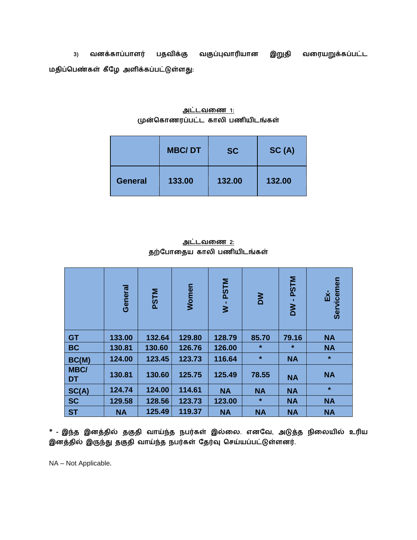3) வனக்காப்பாளர் பதவிக்கு வகுப்புவாரியான இறுதி வரையறுக்கப்பட்ட  **:**

| அட்டவணை 1:                      |  |
|---------------------------------|--|
| முன்கொணரப்பட்ட காலி பணியிடங்கள் |  |

|                | <b>MBC/DT</b> | <b>SC</b> | SC(A)  |  |
|----------------|---------------|-----------|--------|--|
| <b>General</b> | 133.00        | 132.00    | 132.00 |  |

## <u>அட்டவணை 2:</u> தற்போதைய காலி பணியிடங்கள்

|                          | General   | <b>PSTM</b> | Women  | <b>PSTM</b><br>$\geq$ | MQ        | <b>PSTM</b><br>$\geq$ | Servicemen<br>Εx- |
|--------------------------|-----------|-------------|--------|-----------------------|-----------|-----------------------|-------------------|
| <b>GT</b>                | 133.00    | 132.64      | 129.80 | 128.79                | 85.70     | 79.16                 | <b>NA</b>         |
| <b>BC</b>                | 130.81    | 130.60      | 126.76 | 126.00                | $\star$   | $\star$               | <b>NA</b>         |
| BC(M)                    | 124.00    | 123.45      | 123.73 | 116.64                | $\star$   | <b>NA</b>             | $\star$           |
| <b>MBC/</b><br><b>DT</b> | 130.81    | 130.60      | 125.75 | 125.49                | 78.55     | <b>NA</b>             | <b>NA</b>         |
| SC(A)                    | 124.74    | 124.00      | 114.61 | <b>NA</b>             | <b>NA</b> | <b>NA</b>             | $\star$           |
| <b>SC</b>                | 129.58    | 128.56      | 123.73 | 123.00                | $\star$   | <b>NA</b>             | <b>NA</b>         |
| <b>ST</b>                | <b>NA</b> | 125.49      | 119.37 | <b>NA</b>             | <b>NA</b> | <b>NA</b>             | <b>NA</b>         |

 $*$  - இந்த இனத்தில் தகுதி வாய்ந்த நபர்கள் இல்லை. எனவே, அடுத்த நிலையில் உரிய இனத்தில் இருந்து தகுதி வாய்ந்த நபர்கள் தேர்வு செய்யப்பட்டுள்ளனர்.

NA – Not Applicable**.**